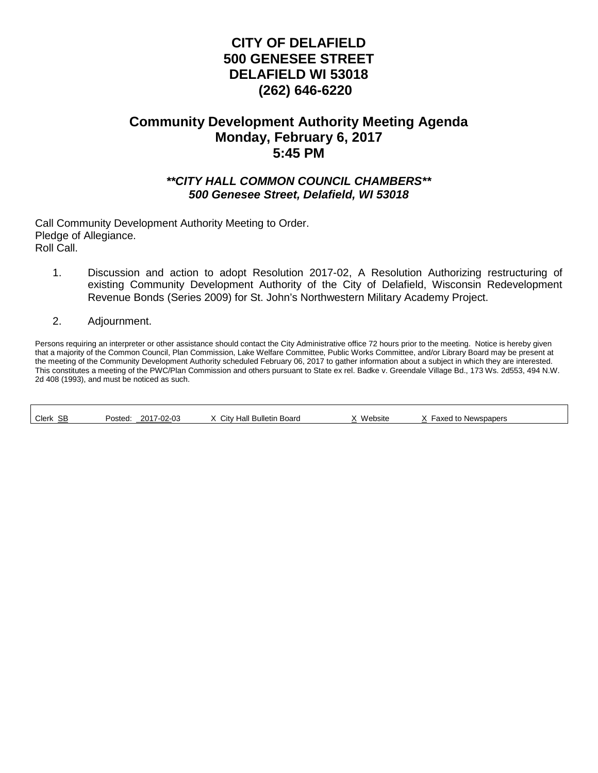# **CITY OF DELAFIELD 500 GENESEE STREET DELAFIELD WI 53018 (262) 646-6220**

# **Community Development Authority Meeting Agenda Monday, February 6, 2017 5:45 PM**

## *\*\*CITY HALL COMMON COUNCIL CHAMBERS\*\* 500 Genesee Street, Delafield, WI 53018*

Call Community Development Authority Meeting to Order. Pledge of Allegiance. Roll Call.

- 1. Discussion and action to adopt Resolution 2017-02, A Resolution Authorizing restructuring of existing Community Development Authority of the City of Delafield, Wisconsin Redevelopment Revenue Bonds (Series 2009) for St. John's Northwestern Military Academy Project.
- 2. Adjournment.

Г

Persons requiring an interpreter or other assistance should contact the City Administrative office 72 hours prior to the meeting. Notice is hereby given that a majority of the Common Council, Plan Commission, Lake Welfare Committee, Public Works Committee, and/or Library Board may be present at the meeting of the Community Development Authority scheduled February 06, 2017 to gather information about a subject in which they are interested. This constitutes a meeting of the PWC/Plan Commission and others pursuant to State ex rel. Badke v. Greendale Village Bd., 173 Ws. 2d553, 494 N.W. 2d 408 (1993), and must be noticed as such.

| SB<br>Clerk | $-02-03$<br>ົດ∩⊀ ⊤<br>Posted<br>2U I<br>υυ | Citv<br>` Bulletin .<br>Board<br>Hall | Website | Newspapers<br>axed<br>. . |  |
|-------------|--------------------------------------------|---------------------------------------|---------|---------------------------|--|
|-------------|--------------------------------------------|---------------------------------------|---------|---------------------------|--|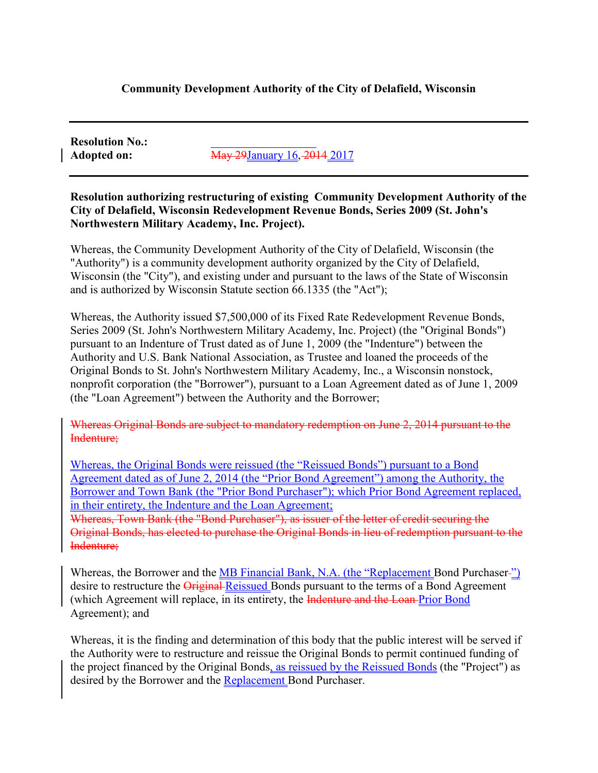# **Community Development Authority of the City of Delafield, Wisconsin**

**Resolution No.:** 

**Adopted on:** May 29January 16, 2014 2017

**Resolution authorizing restructuring of existing Community Development Authority of the City of Delafield, Wisconsin Redevelopment Revenue Bonds, Series 2009 (St. John's Northwestern Military Academy, Inc. Project).** 

Whereas, the Community Development Authority of the City of Delafield, Wisconsin (the "Authority") is a community development authority organized by the City of Delafield, Wisconsin (the "City"), and existing under and pursuant to the laws of the State of Wisconsin and is authorized by Wisconsin Statute section 66.1335 (the "Act");

Whereas, the Authority issued \$7,500,000 of its Fixed Rate Redevelopment Revenue Bonds, Series 2009 (St. John's Northwestern Military Academy, Inc. Project) (the "Original Bonds") pursuant to an Indenture of Trust dated as of June 1, 2009 (the "Indenture") between the Authority and U.S. Bank National Association, as Trustee and loaned the proceeds of the Original Bonds to St. John's Northwestern Military Academy, Inc., a Wisconsin nonstock, nonprofit corporation (the "Borrower"), pursuant to a Loan Agreement dated as of June 1, 2009 (the "Loan Agreement") between the Authority and the Borrower;

Whereas Original Bonds are subject to mandatory redemption on June 2, 2014 pursuant to the Indenture;

Whereas, the Original Bonds were reissued (the "Reissued Bonds") pursuant to a Bond Agreement dated as of June 2, 2014 (the "Prior Bond Agreement") among the Authority, the Borrower and Town Bank (the "Prior Bond Purchaser"); which Prior Bond Agreement replaced, in their entirety, the Indenture and the Loan Agreement;

Whereas, Town Bank (the "Bond Purchaser"), as issuer of the letter of credit securing the Original Bonds, has elected to purchase the Original Bonds in lieu of redemption pursuant to the Indenture;

Whereas, the Borrower and the MB Financial Bank, N.A. (the "Replacement Bond Purchaser-") desire to restructure the *Original-Reissued Bonds* pursuant to the terms of a Bond Agreement (which Agreement will replace, in its entirety, the Indenture and the Loan-Prior Bond Agreement); and

Whereas, it is the finding and determination of this body that the public interest will be served if the Authority were to restructure and reissue the Original Bonds to permit continued funding of the project financed by the Original Bonds, as reissued by the Reissued Bonds (the "Project") as desired by the Borrower and the Replacement Bond Purchaser.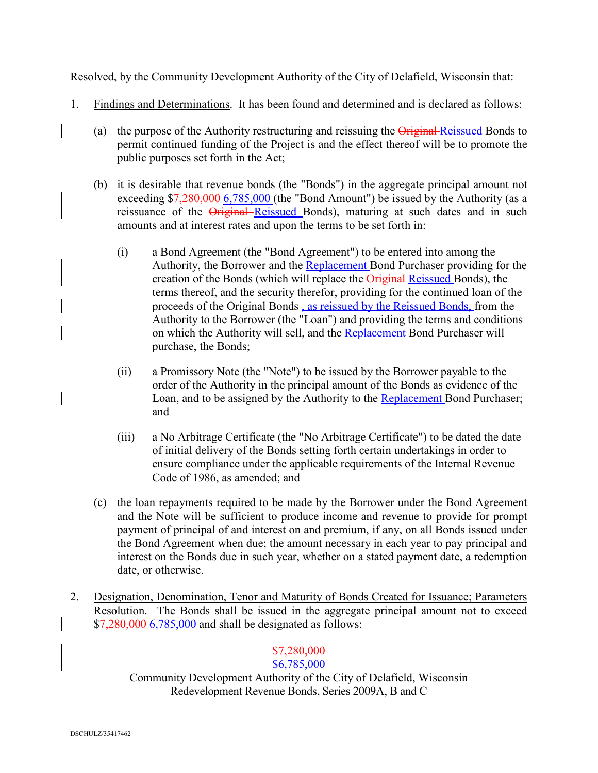Resolved, by the Community Development Authority of the City of Delafield, Wisconsin that:

- 1. Findings and Determinations. It has been found and determined and is declared as follows:
	- (a) the purpose of the Authority restructuring and reissuing the Original Reissued Bonds to permit continued funding of the Project is and the effect thereof will be to promote the public purposes set forth in the Act;
	- (b) it is desirable that revenue bonds (the "Bonds") in the aggregate principal amount not exceeding  $7,280,0006,785,000$  (the "Bond Amount") be issued by the Authority (as a reissuance of the Original Reissued Bonds), maturing at such dates and in such amounts and at interest rates and upon the terms to be set forth in:
		- (i) a Bond Agreement (the "Bond Agreement") to be entered into among the Authority, the Borrower and the Replacement Bond Purchaser providing for the creation of the Bonds (which will replace the Original Reissued Bonds), the terms thereof, and the security therefor, providing for the continued loan of the proceeds of the Original Bonds-, as reissued by the Reissued Bonds, from the Authority to the Borrower (the "Loan") and providing the terms and conditions on which the Authority will sell, and the Replacement Bond Purchaser will purchase, the Bonds;
		- (ii) a Promissory Note (the "Note") to be issued by the Borrower payable to the order of the Authority in the principal amount of the Bonds as evidence of the Loan, and to be assigned by the Authority to the Replacement Bond Purchaser; and
		- (iii) a No Arbitrage Certificate (the "No Arbitrage Certificate") to be dated the date of initial delivery of the Bonds setting forth certain undertakings in order to ensure compliance under the applicable requirements of the Internal Revenue Code of 1986, as amended; and
	- (c) the loan repayments required to be made by the Borrower under the Bond Agreement and the Note will be sufficient to produce income and revenue to provide for prompt payment of principal of and interest on and premium, if any, on all Bonds issued under the Bond Agreement when due; the amount necessary in each year to pay principal and interest on the Bonds due in such year, whether on a stated payment date, a redemption date, or otherwise.
- 2. Designation, Denomination, Tenor and Maturity of Bonds Created for Issuance; Parameters Resolution. The Bonds shall be issued in the aggregate principal amount not to exceed \$7,280,000 6,785,000 and shall be designated as follows:

# \$7,280,000

# \$6,785,000

Community Development Authority of the City of Delafield, Wisconsin Redevelopment Revenue Bonds, Series 2009A, B and C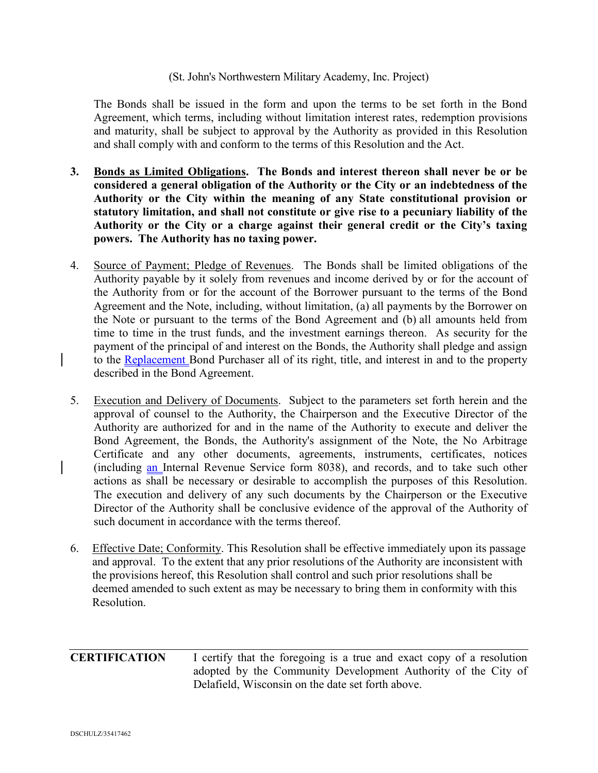### (St. John's Northwestern Military Academy, Inc. Project)

The Bonds shall be issued in the form and upon the terms to be set forth in the Bond Agreement, which terms, including without limitation interest rates, redemption provisions and maturity, shall be subject to approval by the Authority as provided in this Resolution and shall comply with and conform to the terms of this Resolution and the Act.

- **3. Bonds as Limited Obligations. The Bonds and interest thereon shall never be or be considered a general obligation of the Authority or the City or an indebtedness of the Authority or the City within the meaning of any State constitutional provision or statutory limitation, and shall not constitute or give rise to a pecuniary liability of the Authority or the City or a charge against their general credit or the City's taxing powers. The Authority has no taxing power.**
- 4. Source of Payment; Pledge of Revenues. The Bonds shall be limited obligations of the Authority payable by it solely from revenues and income derived by or for the account of the Authority from or for the account of the Borrower pursuant to the terms of the Bond Agreement and the Note, including, without limitation, (a) all payments by the Borrower on the Note or pursuant to the terms of the Bond Agreement and (b) all amounts held from time to time in the trust funds, and the investment earnings thereon. As security for the payment of the principal of and interest on the Bonds, the Authority shall pledge and assign to the Replacement Bond Purchaser all of its right, title, and interest in and to the property described in the Bond Agreement.
- 5. Execution and Delivery of Documents. Subject to the parameters set forth herein and the approval of counsel to the Authority, the Chairperson and the Executive Director of the Authority are authorized for and in the name of the Authority to execute and deliver the Bond Agreement, the Bonds, the Authority's assignment of the Note, the No Arbitrage Certificate and any other documents, agreements, instruments, certificates, notices (including an Internal Revenue Service form 8038), and records, and to take such other actions as shall be necessary or desirable to accomplish the purposes of this Resolution. The execution and delivery of any such documents by the Chairperson or the Executive Director of the Authority shall be conclusive evidence of the approval of the Authority of such document in accordance with the terms thereof.
- 6. Effective Date; Conformity. This Resolution shall be effective immediately upon its passage and approval. To the extent that any prior resolutions of the Authority are inconsistent with the provisions hereof, this Resolution shall control and such prior resolutions shall be deemed amended to such extent as may be necessary to bring them in conformity with this Resolution.

**CERTIFICATION** I certify that the foregoing is a true and exact copy of a resolution adopted by the Community Development Authority of the City of Delafield, Wisconsin on the date set forth above.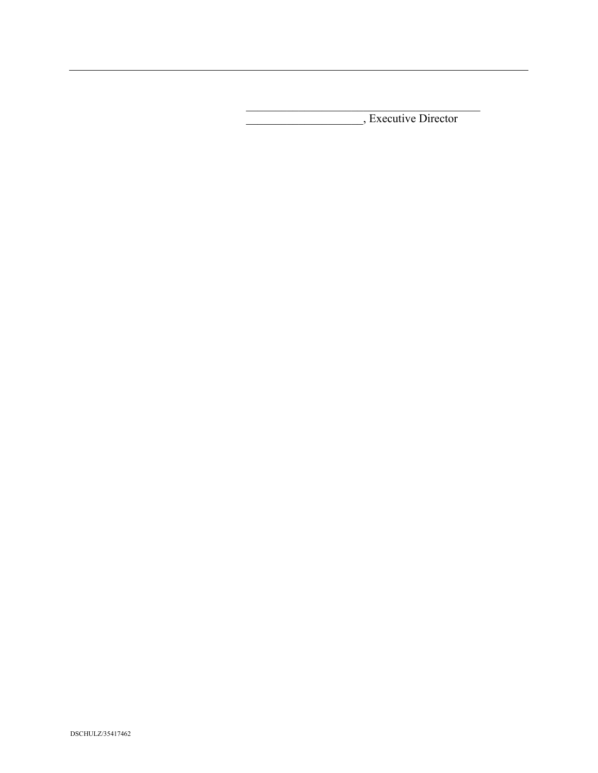\_\_\_\_\_\_\_\_\_\_\_\_\_\_\_\_\_\_\_\_, Executive Director

 $\mathcal{L}_\mathcal{L}$  , which is a set of the set of the set of the set of the set of the set of the set of the set of the set of the set of the set of the set of the set of the set of the set of the set of the set of the set of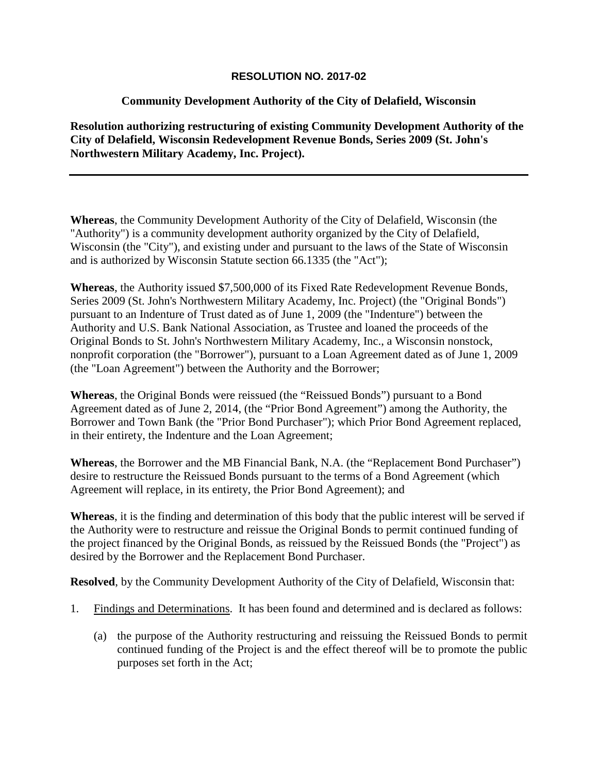### **RESOLUTION NO. 2017-02**

# **Community Development Authority of the City of Delafield, Wisconsin**

**Resolution authorizing restructuring of existing Community Development Authority of the City of Delafield, Wisconsin Redevelopment Revenue Bonds, Series 2009 (St. John's Northwestern Military Academy, Inc. Project).**

**Whereas**, the Community Development Authority of the City of Delafield, Wisconsin (the "Authority") is a community development authority organized by the City of Delafield, Wisconsin (the "City"), and existing under and pursuant to the laws of the State of Wisconsin and is authorized by Wisconsin Statute section 66.1335 (the "Act");

**Whereas**, the Authority issued \$7,500,000 of its Fixed Rate Redevelopment Revenue Bonds, Series 2009 (St. John's Northwestern Military Academy, Inc. Project) (the "Original Bonds") pursuant to an Indenture of Trust dated as of June 1, 2009 (the "Indenture") between the Authority and U.S. Bank National Association, as Trustee and loaned the proceeds of the Original Bonds to St. John's Northwestern Military Academy, Inc., a Wisconsin nonstock, nonprofit corporation (the "Borrower"), pursuant to a Loan Agreement dated as of June 1, 2009 (the "Loan Agreement") between the Authority and the Borrower;

**Whereas**, the Original Bonds were reissued (the "Reissued Bonds") pursuant to a Bond Agreement dated as of June 2, 2014, (the "Prior Bond Agreement") among the Authority, the Borrower and Town Bank (the "Prior Bond Purchaser"); which Prior Bond Agreement replaced, in their entirety, the Indenture and the Loan Agreement;

**Whereas**, the Borrower and the MB Financial Bank, N.A. (the "Replacement Bond Purchaser") desire to restructure the Reissued Bonds pursuant to the terms of a Bond Agreement (which Agreement will replace, in its entirety, the Prior Bond Agreement); and

**Whereas**, it is the finding and determination of this body that the public interest will be served if the Authority were to restructure and reissue the Original Bonds to permit continued funding of the project financed by the Original Bonds, as reissued by the Reissued Bonds (the "Project") as desired by the Borrower and the Replacement Bond Purchaser.

**Resolved**, by the Community Development Authority of the City of Delafield, Wisconsin that:

- 1. Findings and Determinations. It has been found and determined and is declared as follows:
	- (a) the purpose of the Authority restructuring and reissuing the Reissued Bonds to permit continued funding of the Project is and the effect thereof will be to promote the public purposes set forth in the Act;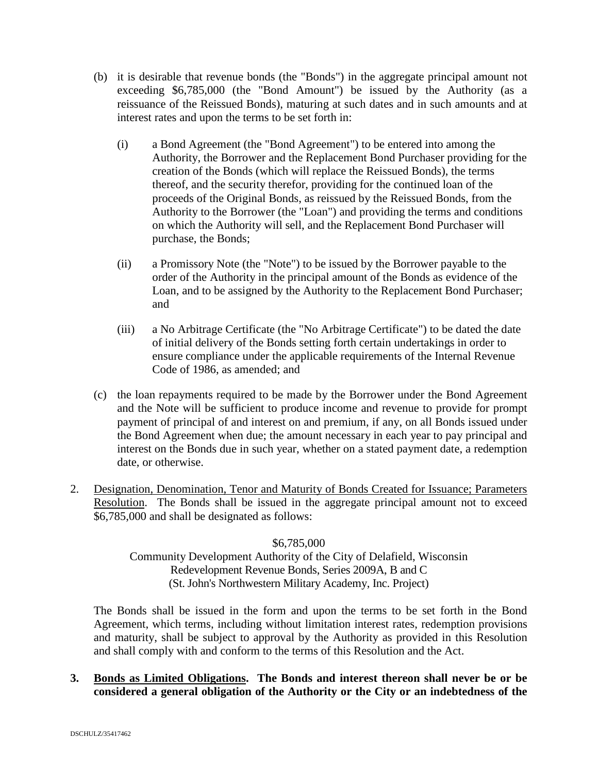- (b) it is desirable that revenue bonds (the "Bonds") in the aggregate principal amount not exceeding \$6,785,000 (the "Bond Amount") be issued by the Authority (as a reissuance of the Reissued Bonds), maturing at such dates and in such amounts and at interest rates and upon the terms to be set forth in:
	- (i) a Bond Agreement (the "Bond Agreement") to be entered into among the Authority, the Borrower and the Replacement Bond Purchaser providing for the creation of the Bonds (which will replace the Reissued Bonds), the terms thereof, and the security therefor, providing for the continued loan of the proceeds of the Original Bonds, as reissued by the Reissued Bonds, from the Authority to the Borrower (the "Loan") and providing the terms and conditions on which the Authority will sell, and the Replacement Bond Purchaser will purchase, the Bonds;
	- (ii) a Promissory Note (the "Note") to be issued by the Borrower payable to the order of the Authority in the principal amount of the Bonds as evidence of the Loan, and to be assigned by the Authority to the Replacement Bond Purchaser; and
	- (iii) a No Arbitrage Certificate (the "No Arbitrage Certificate") to be dated the date of initial delivery of the Bonds setting forth certain undertakings in order to ensure compliance under the applicable requirements of the Internal Revenue Code of 1986, as amended; and
- (c) the loan repayments required to be made by the Borrower under the Bond Agreement and the Note will be sufficient to produce income and revenue to provide for prompt payment of principal of and interest on and premium, if any, on all Bonds issued under the Bond Agreement when due; the amount necessary in each year to pay principal and interest on the Bonds due in such year, whether on a stated payment date, a redemption date, or otherwise.
- 2. Designation, Denomination, Tenor and Maturity of Bonds Created for Issuance; Parameters Resolution. The Bonds shall be issued in the aggregate principal amount not to exceed \$6,785,000 and shall be designated as follows:

### \$6,785,000

## Community Development Authority of the City of Delafield, Wisconsin Redevelopment Revenue Bonds, Series 2009A, B and C (St. John's Northwestern Military Academy, Inc. Project)

The Bonds shall be issued in the form and upon the terms to be set forth in the Bond Agreement, which terms, including without limitation interest rates, redemption provisions and maturity, shall be subject to approval by the Authority as provided in this Resolution and shall comply with and conform to the terms of this Resolution and the Act.

## **3. Bonds as Limited Obligations. The Bonds and interest thereon shall never be or be considered a general obligation of the Authority or the City or an indebtedness of the**